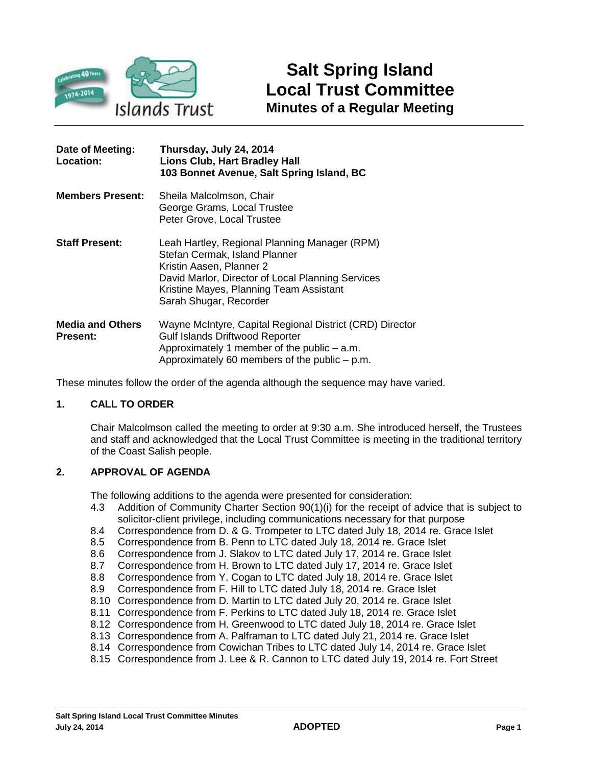

| Date of Meeting:<br>Location:              | Thursday, July 24, 2014<br><b>Lions Club, Hart Bradley Hall</b><br>103 Bonnet Avenue, Salt Spring Island, BC                                                                                                                         |
|--------------------------------------------|--------------------------------------------------------------------------------------------------------------------------------------------------------------------------------------------------------------------------------------|
| <b>Members Present:</b>                    | Sheila Malcolmson, Chair<br>George Grams, Local Trustee<br>Peter Grove, Local Trustee                                                                                                                                                |
| <b>Staff Present:</b>                      | Leah Hartley, Regional Planning Manager (RPM)<br>Stefan Cermak, Island Planner<br>Kristin Aasen, Planner 2<br>David Marlor, Director of Local Planning Services<br>Kristine Mayes, Planning Team Assistant<br>Sarah Shugar, Recorder |
| <b>Media and Others</b><br><b>Present:</b> | Wayne McIntyre, Capital Regional District (CRD) Director<br><b>Gulf Islands Driftwood Reporter</b><br>Approximately 1 member of the public $-$ a.m.<br>Approximately 60 members of the public $-$ p.m.                               |

These minutes follow the order of the agenda although the sequence may have varied.

# **1. CALL TO ORDER**

Chair Malcolmson called the meeting to order at 9:30 a.m. She introduced herself, the Trustees and staff and acknowledged that the Local Trust Committee is meeting in the traditional territory of the Coast Salish people.

# **2. APPROVAL OF AGENDA**

The following additions to the agenda were presented for consideration:

- 4.3 Addition of Community Charter Section 90(1)(i) for the receipt of advice that is subject to solicitor-client privilege, including communications necessary for that purpose
- 8.4 Correspondence from D. & G. Trompeter to LTC dated July 18, 2014 re. Grace Islet
- 8.5 Correspondence from B. Penn to LTC dated July 18, 2014 re. Grace Islet
- 8.6 Correspondence from J. Slakov to LTC dated July 17, 2014 re. Grace Islet
- 8.7 Correspondence from H. Brown to LTC dated July 17, 2014 re. Grace Islet
- 8.8 Correspondence from Y. Cogan to LTC dated July 18, 2014 re. Grace Islet
- 8.9 Correspondence from F. Hill to LTC dated July 18, 2014 re. Grace Islet
- 8.10 Correspondence from D. Martin to LTC dated July 20, 2014 re. Grace Islet
- 8.11 Correspondence from F. Perkins to LTC dated July 18, 2014 re. Grace Islet
- 8.12 Correspondence from H. Greenwood to LTC dated July 18, 2014 re. Grace Islet
- 8.13 Correspondence from A. Palframan to LTC dated July 21, 2014 re. Grace Islet
- 8.14 Correspondence from Cowichan Tribes to LTC dated July 14, 2014 re. Grace Islet
- 8.15 Correspondence from J. Lee & R. Cannon to LTC dated July 19, 2014 re. Fort Street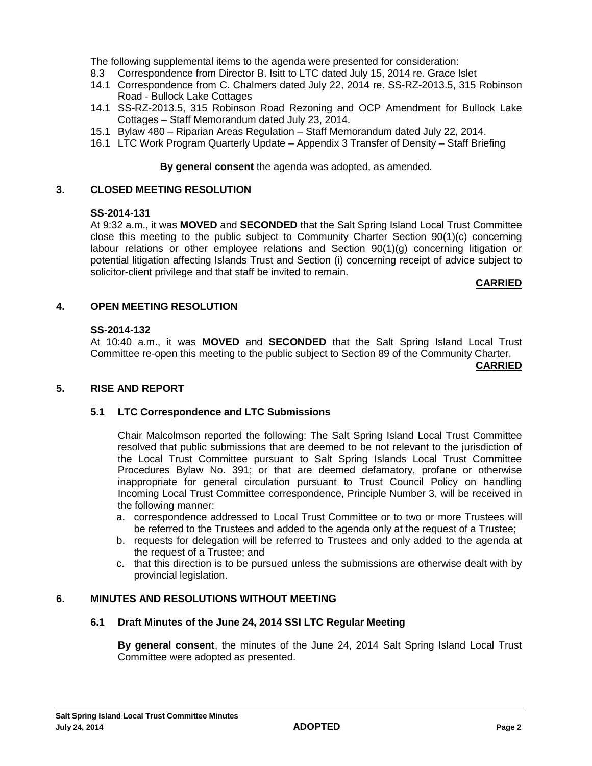The following supplemental items to the agenda were presented for consideration:

- 8.3 Correspondence from Director B. Isitt to LTC dated July 15, 2014 re. Grace Islet
- 14.1 Correspondence from C. Chalmers dated July 22, 2014 re. SS-RZ-2013.5, 315 Robinson Road - Bullock Lake Cottages
- 14.1 SS-RZ-2013.5, 315 Robinson Road Rezoning and OCP Amendment for Bullock Lake Cottages – Staff Memorandum dated July 23, 2014.
- 15.1 Bylaw 480 Riparian Areas Regulation Staff Memorandum dated July 22, 2014.
- 16.1 LTC Work Program Quarterly Update Appendix 3 Transfer of Density Staff Briefing

#### **By general consent** the agenda was adopted, as amended.

## **3. CLOSED MEETING RESOLUTION**

## **SS-2014-131**

At 9:32 a.m., it was **MOVED** and **SECONDED** that the Salt Spring Island Local Trust Committee close this meeting to the public subject to Community Charter Section 90(1)(c) concerning labour relations or other employee relations and Section 90(1)(g) concerning litigation or potential litigation affecting Islands Trust and Section (i) concerning receipt of advice subject to solicitor-client privilege and that staff be invited to remain.

#### **CARRIED**

## **4. OPEN MEETING RESOLUTION**

#### **SS-2014-132**

At 10:40 a.m., it was **MOVED** and **SECONDED** that the Salt Spring Island Local Trust Committee re-open this meeting to the public subject to Section 89 of the Community Charter.

#### **CARRIED**

### **5. RISE AND REPORT**

# **5.1 LTC Correspondence and LTC Submissions**

Chair Malcolmson reported the following: The Salt Spring Island Local Trust Committee resolved that public submissions that are deemed to be not relevant to the jurisdiction of the Local Trust Committee pursuant to Salt Spring Islands Local Trust Committee Procedures Bylaw No. 391; or that are deemed defamatory, profane or otherwise inappropriate for general circulation pursuant to Trust Council Policy on handling Incoming Local Trust Committee correspondence, Principle Number 3, will be received in the following manner:

- a. correspondence addressed to Local Trust Committee or to two or more Trustees will be referred to the Trustees and added to the agenda only at the request of a Trustee;
- b. requests for delegation will be referred to Trustees and only added to the agenda at the request of a Trustee; and
- c. that this direction is to be pursued unless the submissions are otherwise dealt with by provincial legislation.

## **6. MINUTES AND RESOLUTIONS WITHOUT MEETING**

## **6.1 Draft Minutes of the June 24, 2014 SSI LTC Regular Meeting**

**By general consent**, the minutes of the June 24, 2014 Salt Spring Island Local Trust Committee were adopted as presented.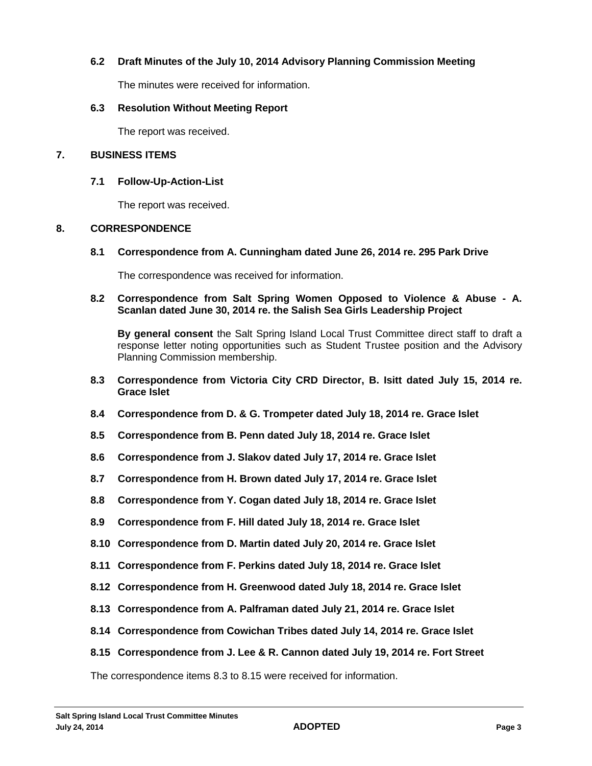# **6.2 Draft Minutes of the July 10, 2014 Advisory Planning Commission Meeting**

The minutes were received for information.

## **6.3 Resolution Without Meeting Report**

The report was received.

### **7. BUSINESS ITEMS**

## **7.1 Follow-Up-Action-List**

The report was received.

## **8. CORRESPONDENCE**

## **8.1 Correspondence from A. Cunningham dated June 26, 2014 re. 295 Park Drive**

The correspondence was received for information.

## **8.2 Correspondence from Salt Spring Women Opposed to Violence & Abuse - A. Scanlan dated June 30, 2014 re. the Salish Sea Girls Leadership Project**

**By general consent** the Salt Spring Island Local Trust Committee direct staff to draft a response letter noting opportunities such as Student Trustee position and the Advisory Planning Commission membership.

- **8.3 Correspondence from Victoria City CRD Director, B. Isitt dated July 15, 2014 re. Grace Islet**
- **8.4 Correspondence from D. & G. Trompeter dated July 18, 2014 re. Grace Islet**
- **8.5 Correspondence from B. Penn dated July 18, 2014 re. Grace Islet**
- **8.6 Correspondence from J. Slakov dated July 17, 2014 re. Grace Islet**
- **8.7 Correspondence from H. Brown dated July 17, 2014 re. Grace Islet**
- **8.8 Correspondence from Y. Cogan dated July 18, 2014 re. Grace Islet**
- **8.9 Correspondence from F. Hill dated July 18, 2014 re. Grace Islet**
- **8.10 Correspondence from D. Martin dated July 20, 2014 re. Grace Islet**
- **8.11 Correspondence from F. Perkins dated July 18, 2014 re. Grace Islet**
- **8.12 Correspondence from H. Greenwood dated July 18, 2014 re. Grace Islet**
- **8.13 Correspondence from A. Palframan dated July 21, 2014 re. Grace Islet**
- **8.14 Correspondence from Cowichan Tribes dated July 14, 2014 re. Grace Islet**
- **8.15 Correspondence from J. Lee & R. Cannon dated July 19, 2014 re. Fort Street**

The correspondence items 8.3 to 8.15 were received for information.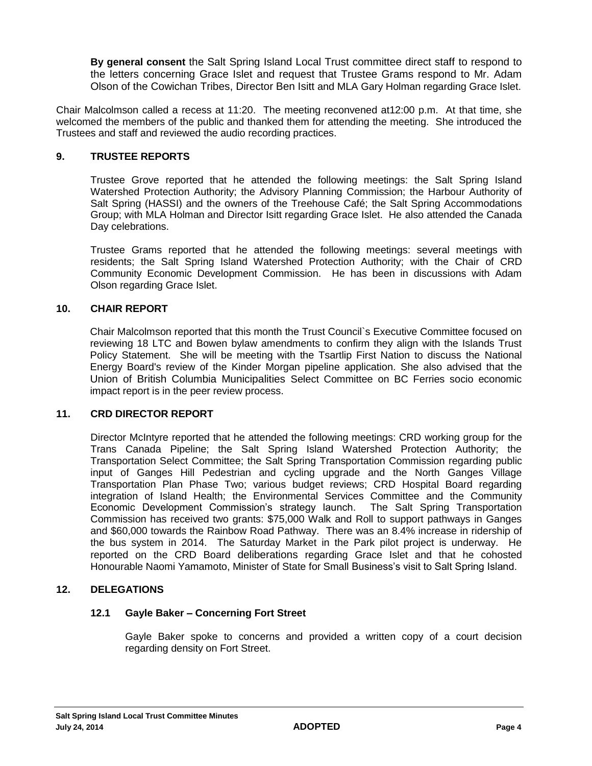**By general consent** the Salt Spring Island Local Trust committee direct staff to respond to the letters concerning Grace Islet and request that Trustee Grams respond to Mr. Adam Olson of the Cowichan Tribes, Director Ben Isitt and MLA Gary Holman regarding Grace Islet.

Chair Malcolmson called a recess at 11:20. The meeting reconvened at12:00 p.m. At that time, she welcomed the members of the public and thanked them for attending the meeting. She introduced the Trustees and staff and reviewed the audio recording practices.

# **9. TRUSTEE REPORTS**

Trustee Grove reported that he attended the following meetings: the Salt Spring Island Watershed Protection Authority; the Advisory Planning Commission; the Harbour Authority of Salt Spring (HASSI) and the owners of the Treehouse Café; the Salt Spring Accommodations Group; with MLA Holman and Director Isitt regarding Grace Islet. He also attended the Canada Day celebrations.

Trustee Grams reported that he attended the following meetings: several meetings with residents; the Salt Spring Island Watershed Protection Authority; with the Chair of CRD Community Economic Development Commission. He has been in discussions with Adam Olson regarding Grace Islet.

# **10. CHAIR REPORT**

Chair Malcolmson reported that this month the Trust Council`s Executive Committee focused on reviewing 18 LTC and Bowen bylaw amendments to confirm they align with the Islands Trust Policy Statement. She will be meeting with the Tsartlip First Nation to discuss the National Energy Board's review of the Kinder Morgan pipeline application. She also advised that the Union of British Columbia Municipalities Select Committee on BC Ferries socio economic impact report is in the peer review process.

# **11. CRD DIRECTOR REPORT**

Director McIntyre reported that he attended the following meetings: CRD working group for the Trans Canada Pipeline; the Salt Spring Island Watershed Protection Authority; the Transportation Select Committee; the Salt Spring Transportation Commission regarding public input of Ganges Hill Pedestrian and cycling upgrade and the North Ganges Village Transportation Plan Phase Two; various budget reviews; CRD Hospital Board regarding integration of Island Health; the Environmental Services Committee and the Community Economic Development Commission's strategy launch. The Salt Spring Transportation Commission has received two grants: \$75,000 Walk and Roll to support pathways in Ganges and \$60,000 towards the Rainbow Road Pathway. There was an 8.4% increase in ridership of the bus system in 2014. The Saturday Market in the Park pilot project is underway. He reported on the CRD Board deliberations regarding Grace Islet and that he cohosted Honourable Naomi Yamamoto, Minister of State for Small Business's visit to Salt Spring Island.

# **12. DELEGATIONS**

# **12.1 Gayle Baker – Concerning Fort Street**

Gayle Baker spoke to concerns and provided a written copy of a court decision regarding density on Fort Street.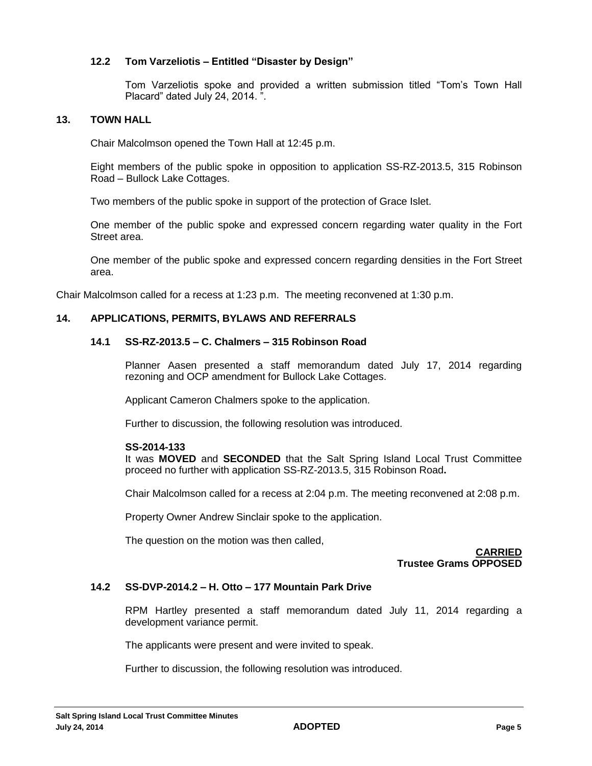# **12.2 Tom Varzeliotis – Entitled "Disaster by Design"**

Tom Varzeliotis spoke and provided a written submission titled "Tom's Town Hall Placard" dated July 24, 2014. ".

# **13. TOWN HALL**

Chair Malcolmson opened the Town Hall at 12:45 p.m.

Eight members of the public spoke in opposition to application SS-RZ-2013.5, 315 Robinson Road – Bullock Lake Cottages.

Two members of the public spoke in support of the protection of Grace Islet.

One member of the public spoke and expressed concern regarding water quality in the Fort Street area.

One member of the public spoke and expressed concern regarding densities in the Fort Street area.

Chair Malcolmson called for a recess at 1:23 p.m. The meeting reconvened at 1:30 p.m.

# **14. APPLICATIONS, PERMITS, BYLAWS AND REFERRALS**

## **14.1 SS-RZ-2013.5 – C. Chalmers – 315 Robinson Road**

Planner Aasen presented a staff memorandum dated July 17, 2014 regarding rezoning and OCP amendment for Bullock Lake Cottages.

Applicant Cameron Chalmers spoke to the application.

Further to discussion, the following resolution was introduced.

#### **SS-2014-133**

It was **MOVED** and **SECONDED** that the Salt Spring Island Local Trust Committee proceed no further with application SS-RZ-2013.5, 315 Robinson Road**.**

Chair Malcolmson called for a recess at 2:04 p.m. The meeting reconvened at 2:08 p.m.

Property Owner Andrew Sinclair spoke to the application.

The question on the motion was then called,

**CARRIED Trustee Grams OPPOSED**

### **14.2 SS-DVP-2014.2 – H. Otto – 177 Mountain Park Drive**

RPM Hartley presented a staff memorandum dated July 11, 2014 regarding a development variance permit.

The applicants were present and were invited to speak.

Further to discussion, the following resolution was introduced.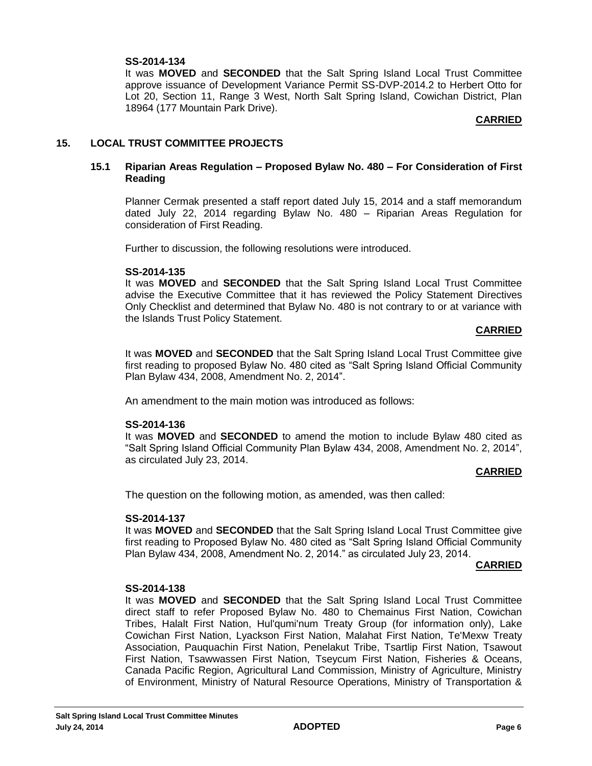# **SS-2014-134**

It was **MOVED** and **SECONDED** that the Salt Spring Island Local Trust Committee approve issuance of Development Variance Permit SS-DVP-2014.2 to Herbert Otto for Lot 20, Section 11, Range 3 West, North Salt Spring Island, Cowichan District, Plan 18964 (177 Mountain Park Drive).

## **CARRIED**

# **15. LOCAL TRUST COMMITTEE PROJECTS**

## **15.1 Riparian Areas Regulation – Proposed Bylaw No. 480 – For Consideration of First Reading**

Planner Cermak presented a staff report dated July 15, 2014 and a staff memorandum dated July 22, 2014 regarding Bylaw No. 480 – Riparian Areas Regulation for consideration of First Reading.

Further to discussion, the following resolutions were introduced.

#### **SS-2014-135**

It was **MOVED** and **SECONDED** that the Salt Spring Island Local Trust Committee advise the Executive Committee that it has reviewed the Policy Statement Directives Only Checklist and determined that Bylaw No. 480 is not contrary to or at variance with the Islands Trust Policy Statement.

#### **CARRIED**

It was **MOVED** and **SECONDED** that the Salt Spring Island Local Trust Committee give first reading to proposed Bylaw No. 480 cited as "Salt Spring Island Official Community Plan Bylaw 434, 2008, Amendment No. 2, 2014".

An amendment to the main motion was introduced as follows:

#### **SS-2014-136**

It was **MOVED** and **SECONDED** to amend the motion to include Bylaw 480 cited as "Salt Spring Island Official Community Plan Bylaw 434, 2008, Amendment No. 2, 2014", as circulated July 23, 2014.

#### **CARRIED**

The question on the following motion, as amended, was then called:

#### **SS-2014-137**

It was **MOVED** and **SECONDED** that the Salt Spring Island Local Trust Committee give first reading to Proposed Bylaw No. 480 cited as "Salt Spring Island Official Community Plan Bylaw 434, 2008, Amendment No. 2, 2014." as circulated July 23, 2014.

#### **CARRIED**

#### **SS-2014-138**

It was **MOVED** and **SECONDED** that the Salt Spring Island Local Trust Committee direct staff to refer Proposed Bylaw No. 480 to Chemainus First Nation, Cowichan Tribes, Halalt First Nation, Hul'qumi'num Treaty Group (for information only), Lake Cowichan First Nation, Lyackson First Nation, Malahat First Nation, Te'Mexw Treaty Association, Pauquachin First Nation, Penelakut Tribe, Tsartlip First Nation, Tsawout First Nation, Tsawwassen First Nation, Tseycum First Nation, Fisheries & Oceans, Canada Pacific Region, Agricultural Land Commission, Ministry of Agriculture, Ministry of Environment, Ministry of Natural Resource Operations, Ministry of Transportation &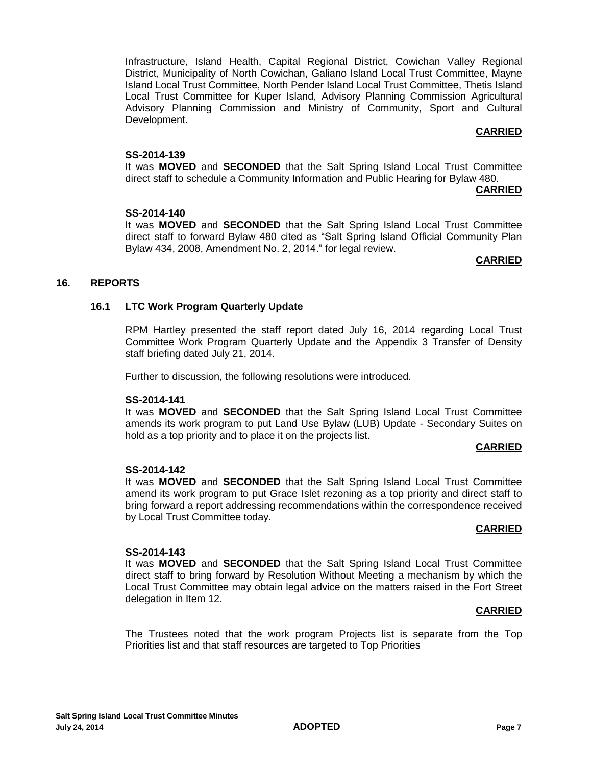Infrastructure, Island Health, Capital Regional District, Cowichan Valley Regional District, Municipality of North Cowichan, Galiano Island Local Trust Committee, Mayne Island Local Trust Committee, North Pender Island Local Trust Committee, Thetis Island Local Trust Committee for Kuper Island, Advisory Planning Commission Agricultural Advisory Planning Commission and Ministry of Community, Sport and Cultural Development.

## **CARRIED**

## **SS-2014-139**

It was **MOVED** and **SECONDED** that the Salt Spring Island Local Trust Committee direct staff to schedule a Community Information and Public Hearing for Bylaw 480.

#### **CARRIED**

## **SS-2014-140**

It was **MOVED** and **SECONDED** that the Salt Spring Island Local Trust Committee direct staff to forward Bylaw 480 cited as "Salt Spring Island Official Community Plan Bylaw 434, 2008, Amendment No. 2, 2014." for legal review.

#### **CARRIED**

## **16. REPORTS**

## **16.1 LTC Work Program Quarterly Update**

RPM Hartley presented the staff report dated July 16, 2014 regarding Local Trust Committee Work Program Quarterly Update and the Appendix 3 Transfer of Density staff briefing dated July 21, 2014.

Further to discussion, the following resolutions were introduced.

#### **SS-2014-141**

It was **MOVED** and **SECONDED** that the Salt Spring Island Local Trust Committee amends its work program to put Land Use Bylaw (LUB) Update - Secondary Suites on hold as a top priority and to place it on the projects list.

#### **CARRIED**

#### **SS-2014-142**

It was **MOVED** and **SECONDED** that the Salt Spring Island Local Trust Committee amend its work program to put Grace Islet rezoning as a top priority and direct staff to bring forward a report addressing recommendations within the correspondence received by Local Trust Committee today.

#### **CARRIED**

#### **SS-2014-143**

It was **MOVED** and **SECONDED** that the Salt Spring Island Local Trust Committee direct staff to bring forward by Resolution Without Meeting a mechanism by which the Local Trust Committee may obtain legal advice on the matters raised in the Fort Street delegation in Item 12.

#### **CARRIED**

The Trustees noted that the work program Projects list is separate from the Top Priorities list and that staff resources are targeted to Top Priorities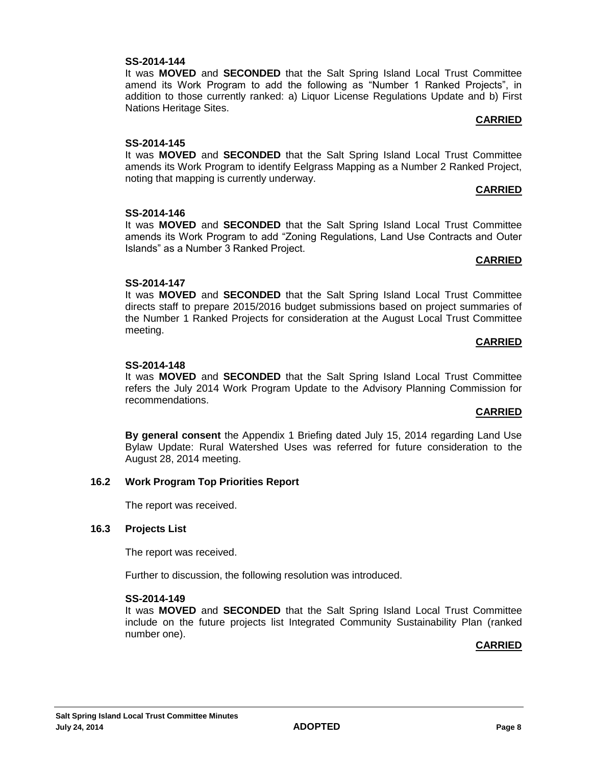# **SS-2014-144**

It was **MOVED** and **SECONDED** that the Salt Spring Island Local Trust Committee amend its Work Program to add the following as "Number 1 Ranked Projects", in addition to those currently ranked: a) Liquor License Regulations Update and b) First Nations Heritage Sites.

# **CARRIED**

# **SS-2014-145**

It was **MOVED** and **SECONDED** that the Salt Spring Island Local Trust Committee amends its Work Program to identify Eelgrass Mapping as a Number 2 Ranked Project, noting that mapping is currently underway.

## **CARRIED**

# **SS-2014-146**

It was **MOVED** and **SECONDED** that the Salt Spring Island Local Trust Committee amends its Work Program to add "Zoning Regulations, Land Use Contracts and Outer Islands" as a Number 3 Ranked Project.

## **CARRIED**

# **SS-2014-147**

It was **MOVED** and **SECONDED** that the Salt Spring Island Local Trust Committee directs staff to prepare 2015/2016 budget submissions based on project summaries of the Number 1 Ranked Projects for consideration at the August Local Trust Committee meeting.

## **CARRIED**

# **SS-2014-148**

It was **MOVED** and **SECONDED** that the Salt Spring Island Local Trust Committee refers the July 2014 Work Program Update to the Advisory Planning Commission for recommendations.

# **CARRIED**

**By general consent** the Appendix 1 Briefing dated July 15, 2014 regarding Land Use Bylaw Update: Rural Watershed Uses was referred for future consideration to the August 28, 2014 meeting.

# **16.2 Work Program Top Priorities Report**

The report was received.

# **16.3 Projects List**

The report was received.

Further to discussion, the following resolution was introduced.

# **SS-2014-149**

It was **MOVED** and **SECONDED** that the Salt Spring Island Local Trust Committee include on the future projects list Integrated Community Sustainability Plan (ranked number one).

# **CARRIED**